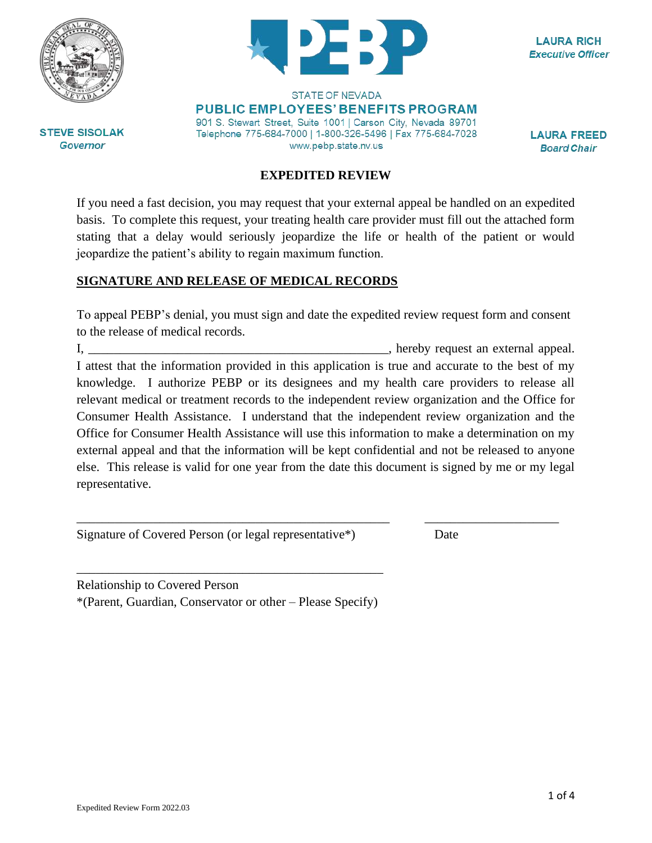



**LAURA RICH Executive Officer** 

**STEVE SISOLAK Governor** 

**STATE OF NEVADA PUBLIC EMPLOYEES' BENEFITS PROGRAM** 901 S. Stewart Street, Suite 1001 | Carson City, Nevada 89701 Telephone 775-684-7000 | 1-800-326-5496 | Fax 775-684-7028 www.pebp.state.nv.us

**LAURA FREED Board Chair** 

#### **EXPEDITED REVIEW**

If you need a fast decision, you may request that your external appeal be handled on an expedited basis. To complete this request, your treating health care provider must fill out the attached form stating that a delay would seriously jeopardize the life or health of the patient or would jeopardize the patient's ability to regain maximum function.

#### **SIGNATURE AND RELEASE OF MEDICAL RECORDS**

To appeal PEBP's denial, you must sign and date the expedited review request form and consent to the release of medical records.

I, the external appeal. I attest that the information provided in this application is true and accurate to the best of my knowledge. I authorize PEBP or its designees and my health care providers to release all relevant medical or treatment records to the independent review organization and the Office for Consumer Health Assistance. I understand that the independent review organization and the Office for Consumer Health Assistance will use this information to make a determination on my external appeal and that the information will be kept confidential and not be released to anyone else. This release is valid for one year from the date this document is signed by me or my legal representative.

\_\_\_\_\_\_\_\_\_\_\_\_\_\_\_\_\_\_\_\_\_\_\_\_\_\_\_\_\_\_\_\_\_\_\_\_\_\_\_\_\_\_\_\_\_\_\_\_\_ \_\_\_\_\_\_\_\_\_\_\_\_\_\_\_\_\_\_\_\_\_

Signature of Covered Person (or legal representative\*) Date

Relationship to Covered Person \*(Parent, Guardian, Conservator or other – Please Specify)

\_\_\_\_\_\_\_\_\_\_\_\_\_\_\_\_\_\_\_\_\_\_\_\_\_\_\_\_\_\_\_\_\_\_\_\_\_\_\_\_\_\_\_\_\_\_\_\_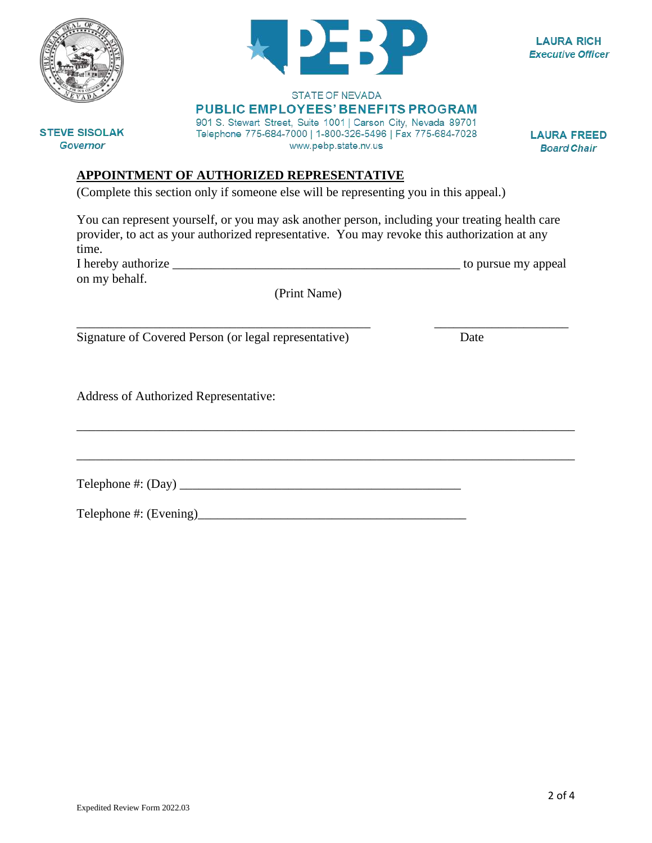

**LAURA RICH Executive Officer** 

**PUBLIC EMPLOYEES' BENEFITS PROGRAM** 

901 S. Stewart Street, Suite 1001 | Carson City, Nevada 89701 Telephone 775-684-7000 | 1-800-326-5496 | Fax 775-684-7028 www.pebp.state.nv.us

**STATE OF NEVADA** 

**LAURA FREED Board Chair** 

**Governor** 

# **APPOINTMENT OF AUTHORIZED REPRESENTATIVE**

(Complete this section only if someone else will be representing you in this appeal.)

You can represent yourself, or you may ask another person, including your treating health care provider, to act as your authorized representative. You may revoke this authorization at any time.

I hereby authorize \_\_\_\_\_\_\_\_\_\_\_\_\_\_\_\_\_\_\_\_\_\_\_\_\_\_\_\_\_\_\_\_\_\_\_\_\_\_\_\_\_\_\_\_\_ to pursue my appeal on my behalf.

(Print Name)

\_\_\_\_\_\_\_\_\_\_\_\_\_\_\_\_\_\_\_\_\_\_\_\_\_\_\_\_\_\_\_\_\_\_\_\_\_\_\_\_\_\_\_\_\_\_\_\_\_\_\_\_\_\_\_\_\_\_\_\_\_\_\_\_\_\_\_\_\_\_\_\_\_\_\_\_\_\_

\_\_\_\_\_\_\_\_\_\_\_\_\_\_\_\_\_\_\_\_\_\_\_\_\_\_\_\_\_\_\_\_\_\_\_\_\_\_\_\_\_\_\_\_\_\_\_\_\_\_\_\_\_\_\_\_\_\_\_\_\_\_\_\_\_\_\_\_\_\_\_\_\_\_\_\_\_\_

Signature of Covered Person (or legal representative) Date

Address of Authorized Representative:

 $\text{Telephone } \#: (\text{Day})$ 

Telephone #: (Evening)\_\_\_\_\_\_\_\_\_\_\_\_\_\_\_\_\_\_\_\_\_\_\_\_\_\_\_\_\_\_\_\_\_\_\_\_\_\_\_\_\_\_

2 of 4

**STEVE SISOLAK** 

\_\_\_\_\_\_\_\_\_\_\_\_\_\_\_\_\_\_\_\_\_\_\_\_\_\_\_\_\_\_\_\_\_\_\_\_\_\_\_\_\_\_\_\_\_\_ \_\_\_\_\_\_\_\_\_\_\_\_\_\_\_\_\_\_\_\_\_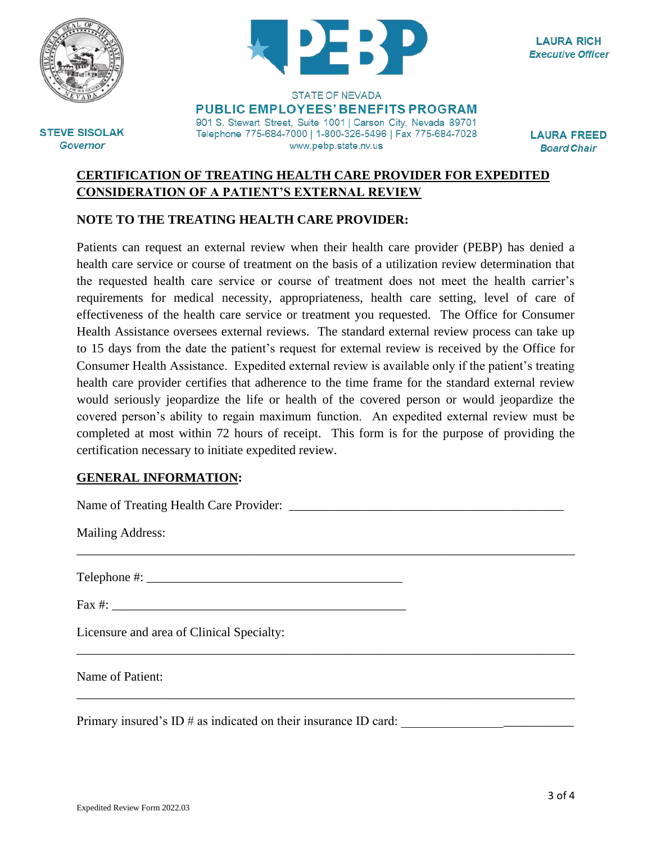



**LAURA RICH Executive Officer** 

**STEVE SISOLAK Governor** 

**STATE OF NEVADA PUBLIC EMPLOYEES' BENEFITS PROGRAM** 901 S. Stewart Street, Suite 1001 | Carson City, Nevada 89701

Telephone 775-684-7000 | 1-800-326-5496 | Fax 775-684-7028 www.pebp.state.nv.us

**LAURA FREED Board Chair** 

### **CERTIFICATION OF TREATING HEALTH CARE PROVIDER FOR EXPEDITED CONSIDERATION OF A PATIENT'S EXTERNAL REVIEW**

## **NOTE TO THE TREATING HEALTH CARE PROVIDER:**

Patients can request an external review when their health care provider (PEBP) has denied a health care service or course of treatment on the basis of a utilization review determination that the requested health care service or course of treatment does not meet the health carrier's requirements for medical necessity, appropriateness, health care setting, level of care of effectiveness of the health care service or treatment you requested. The Office for Consumer Health Assistance oversees external reviews. The standard external review process can take up to 15 days from the date the patient's request for external review is received by the Office for Consumer Health Assistance. Expedited external review is available only if the patient's treating health care provider certifies that adherence to the time frame for the standard external review would seriously jeopardize the life or health of the covered person or would jeopardize the covered person's ability to regain maximum function. An expedited external review must be completed at most within 72 hours of receipt. This form is for the purpose of providing the certification necessary to initiate expedited review.

\_\_\_\_\_\_\_\_\_\_\_\_\_\_\_\_\_\_\_\_\_\_\_\_\_\_\_\_\_\_\_\_\_\_\_\_\_\_\_\_\_\_\_\_\_\_\_\_\_\_\_\_\_\_\_\_\_\_\_\_\_\_\_\_\_\_\_\_\_\_\_\_\_\_\_\_\_\_

\_\_\_\_\_\_\_\_\_\_\_\_\_\_\_\_\_\_\_\_\_\_\_\_\_\_\_\_\_\_\_\_\_\_\_\_\_\_\_\_\_\_\_\_\_\_\_\_\_\_\_\_\_\_\_\_\_\_\_\_\_\_\_\_\_\_\_\_\_\_\_\_\_\_\_\_\_\_

\_\_\_\_\_\_\_\_\_\_\_\_\_\_\_\_\_\_\_\_\_\_\_\_\_\_\_\_\_\_\_\_\_\_\_\_\_\_\_\_\_\_\_\_\_\_\_\_\_\_\_\_\_\_\_\_\_\_\_\_\_\_\_\_\_\_\_\_\_\_\_\_\_\_\_\_\_\_

#### **GENERAL INFORMATION:**

Name of Treating Health Care Provider: \_\_\_\_\_\_\_\_\_\_\_\_\_\_\_\_\_\_\_\_\_\_\_\_\_\_\_\_\_\_\_\_\_\_\_\_\_\_\_\_\_\_\_

Mailing Address:

Telephone #: \_\_\_\_\_\_\_\_\_\_\_\_\_\_\_\_\_\_\_\_\_\_\_\_\_\_\_\_\_\_\_\_\_\_\_\_\_\_\_\_

Fax #: \_\_\_\_\_\_\_\_\_\_\_\_\_\_\_\_\_\_\_\_\_\_\_\_\_\_\_\_\_\_\_\_\_\_\_\_\_\_\_\_\_\_\_\_\_\_

Licensure and area of Clinical Specialty:

Name of Patient:

Primary insured's ID # as indicated on their insurance ID card: \_\_\_\_\_\_\_\_\_\_\_\_\_\_\_\_\_\_\_\_\_\_\_\_\_\_\_